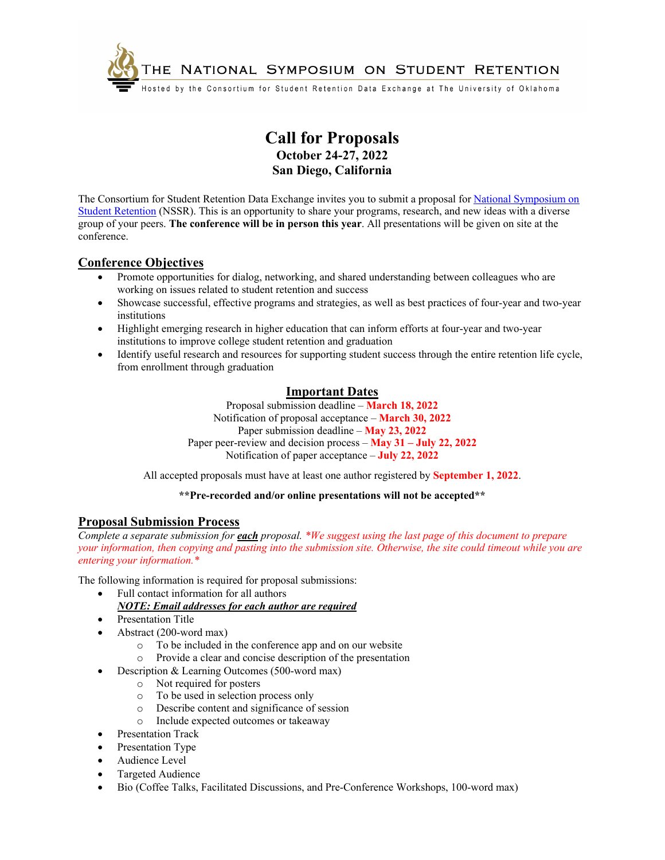

# **Call for Proposals October 24-27, 2022 San Diego, California**

The Consortium for Student Retention Data Exchange invites you to submit a proposal for [National Symposium on](https://csrde.ou.edu/symposium/) [Student Retention](https://csrde.ou.edu/symposium/) (NSSR). This is an opportunity to share your programs, research, and new ideas with a diverse group of your peers. **The conference will be in person this year**. All presentations will be given on site at the conference.

# **Conference Objectives**

- Promote opportunities for dialog, networking, and shared understanding between colleagues who are working on issues related to student retention and success
- Showcase successful, effective programs and strategies, as well as best practices of four-year and two-year institutions
- Highlight emerging research in higher education that can inform efforts at four-year and two-year institutions to improve college student retention and graduation
- Identify useful research and resources for supporting student success through the entire retention life cycle, from enrollment through graduation

# **Important Dates**

Proposal submission deadline – **March 18, 2022** Notification of proposal acceptance – **March 30, 2022** Paper submission deadline – **May 23, 2022** Paper peer-review and decision process – **May 31 – July 22, 2022** Notification of paper acceptance – **July 22, 2022** 

All accepted proposals must have at least one author registered by **September 1, 2022**.

### **\*\*Pre-recorded and/or online presentations will not be accepted\*\***

# **Proposal Submission Process**

*Complete a separate submission for each proposal. \*We suggest using the last page of this document to prepare your information, then copying and pasting into the submission site. Otherwise, the site could timeout while you are entering your information.\**

The following information is required for proposal submissions:

- Full contact information for all authors
	- *NOTE: Email addresses for each author are required*
- Presentation Title
- Abstract (200-word max)
	- o To be included in the conference app and on our website
	- o Provide a clear and concise description of the presentation
- Description & Learning Outcomes (500-word max)
	- o Not required for posters
	- o To be used in selection process only
	- o Describe content and significance of session
	- o Include expected outcomes or takeaway
- Presentation Track
- Presentation Type
- Audience Level
- Targeted Audience
- Bio (Coffee Talks, Facilitated Discussions, and Pre-Conference Workshops, 100-word max)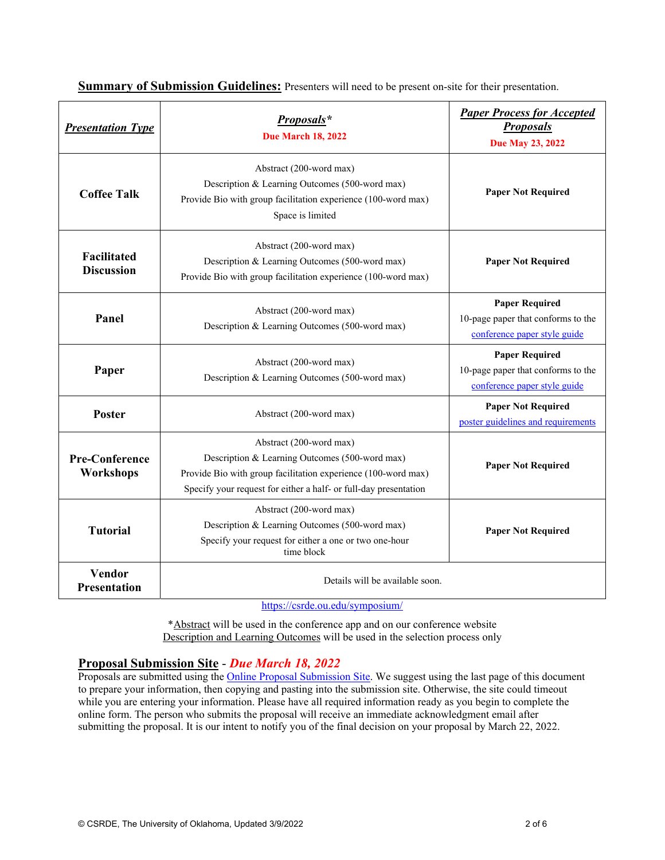| <b>Presentation Type</b>                | Proposals*<br><b>Due March 18, 2022</b>                                                                                                                                                                        | <b>Paper Process for Accepted</b><br><b>Proposals</b><br>Due May 23, 2022                   |
|-----------------------------------------|----------------------------------------------------------------------------------------------------------------------------------------------------------------------------------------------------------------|---------------------------------------------------------------------------------------------|
| <b>Coffee Talk</b>                      | Abstract (200-word max)<br>Description & Learning Outcomes (500-word max)<br>Provide Bio with group facilitation experience (100-word max)<br>Space is limited                                                 | <b>Paper Not Required</b>                                                                   |
| <b>Facilitated</b><br><b>Discussion</b> | Abstract (200-word max)<br>Description & Learning Outcomes (500-word max)<br>Provide Bio with group facilitation experience (100-word max)                                                                     | <b>Paper Not Required</b>                                                                   |
| Panel                                   | Abstract (200-word max)<br>Description & Learning Outcomes (500-word max)                                                                                                                                      | <b>Paper Required</b><br>10-page paper that conforms to the<br>conference paper style guide |
| Paper                                   | Abstract (200-word max)<br>Description & Learning Outcomes (500-word max)                                                                                                                                      | <b>Paper Required</b><br>10-page paper that conforms to the<br>conference paper style guide |
| <b>Poster</b>                           | Abstract (200-word max)                                                                                                                                                                                        | <b>Paper Not Required</b><br>poster guidelines and requirements                             |
| <b>Pre-Conference</b><br>Workshops      | Abstract (200-word max)<br>Description & Learning Outcomes (500-word max)<br>Provide Bio with group facilitation experience (100-word max)<br>Specify your request for either a half- or full-day presentation | <b>Paper Not Required</b>                                                                   |
| <b>Tutorial</b>                         | Abstract (200-word max)<br>Description & Learning Outcomes (500-word max)<br>Specify your request for either a one or two one-hour<br>time block                                                               | <b>Paper Not Required</b>                                                                   |
| Vendor<br><b>Presentation</b>           | Details will be available soon.                                                                                                                                                                                |                                                                                             |

**Summary of Submission Guidelines:** Presenters will need to be present on-site for their presentation.

https://csrde.ou.edu/symposium/

\*Abstract will be used in the conference app and on our conference website Description and Learning Outcomes will be used in the selection process only

### **Proposal Submission Site** - *Due March 18, 2022*

Proposals are submitted using the **Online Proposal Submission Site**. We suggest using the last page of this document to prepare your information, then copying and pasting into the submission site. Otherwise, the site could timeout while you are entering your information. Please have all required information ready as you begin to complete the online form. The person who submits the proposal will receive an immediate acknowledgment email after submitting the proposal. It is our intent to notify you of the final decision on your proposal by March 22, 2022.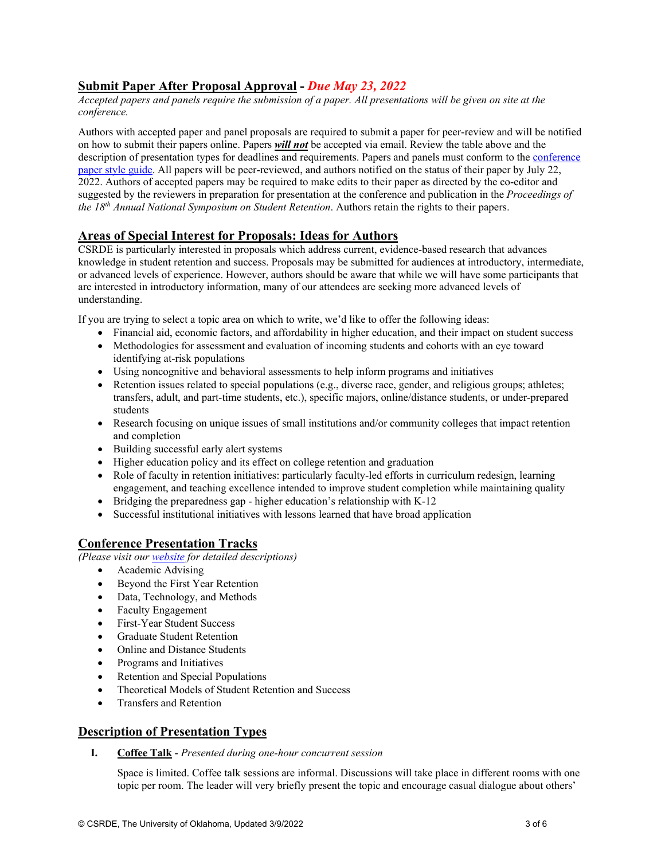# <span id="page-2-0"></span>**Submit Paper After Proposal Approval -** *Due May 23, 2022*

*Accepted papers and panels require the submission of a paper. All presentations will be given on site at the conference.* 

Authors with accepted paper and panel proposals are required to submit a paper for peer-review and will be notified on how to submit their papers online. Papers *will not* be accepted via email. Review the table above and the description of presentation types for deadlines and requirements. Papers and panels must conform to the [conference](https://csrde.ou.edu/wp-content/uploads/HowtoFormatSymposiumPaper.pdf)  [paper style guide](https://csrde.ou.edu/wp-content/uploads/HowtoFormatSymposiumPaper.pdf). All papers will be peer-reviewed, and authors notified on the status of their paper by July 22, 2022. Authors of accepted papers may be required to make edits to their paper as directed by the co-editor and suggested by the reviewers in preparation for presentation at the conference and publication in the *Proceedings of the 18th Annual National Symposium on Student Retention*. Authors retain the rights to their papers.

### **Areas of Special Interest for Proposals: Ideas for Authors**

CSRDE is particularly interested in proposals which address current, evidence-based research that advances knowledge in student retention and success. Proposals may be submitted for audiences at introductory, intermediate, or advanced levels of experience. However, authors should be aware that while we will have some participants that are interested in introductory information, many of our attendees are seeking more advanced levels of understanding.

If you are trying to select a topic area on which to write, we'd like to offer the following ideas:

- Financial aid, economic factors, and affordability in higher education, and their impact on student success
- Methodologies for assessment and evaluation of incoming students and cohorts with an eye toward identifying at-risk populations
- Using noncognitive and behavioral assessments to help inform programs and initiatives
- Retention issues related to special populations (e.g., diverse race, gender, and religious groups; athletes; transfers, adult, and part-time students, etc.), specific majors, online/distance students, or under-prepared students
- Research focusing on unique issues of small institutions and/or community colleges that impact retention and completion
- Building successful early alert systems
- Higher education policy and its effect on college retention and graduation
- Role of faculty in retention initiatives: particularly faculty-led efforts in curriculum redesign, learning engagement, and teaching excellence intended to improve student completion while maintaining quality
- Bridging the preparedness gap higher education's relationship with K-12
- Successful institutional initiatives with lessons learned that have broad application

### **Conference Presentation Tracks**

*(Please visit our [website](https://csrde.ou.edu/symposium/call-for-proposals/) for detailed descriptions)* 

- Academic Advising
- Beyond the First Year Retention
- Data, Technology, and Methods
- Faculty Engagement
- First-Year Student Success
- Graduate Student Retention
- Online and Distance Students
- Programs and Initiatives
- Retention and Special Populations
- Theoretical Models of Student Retention and Success
- Transfers and Retention

# **Description of Presentation Types**

**I. Coffee Talk** - *Presented during one-hour concurrent session*

Space is limited. Coffee talk sessions are informal. Discussions will take place in different rooms with one topic per room. The leader will very briefly present the topic and encourage casual dialogue about others'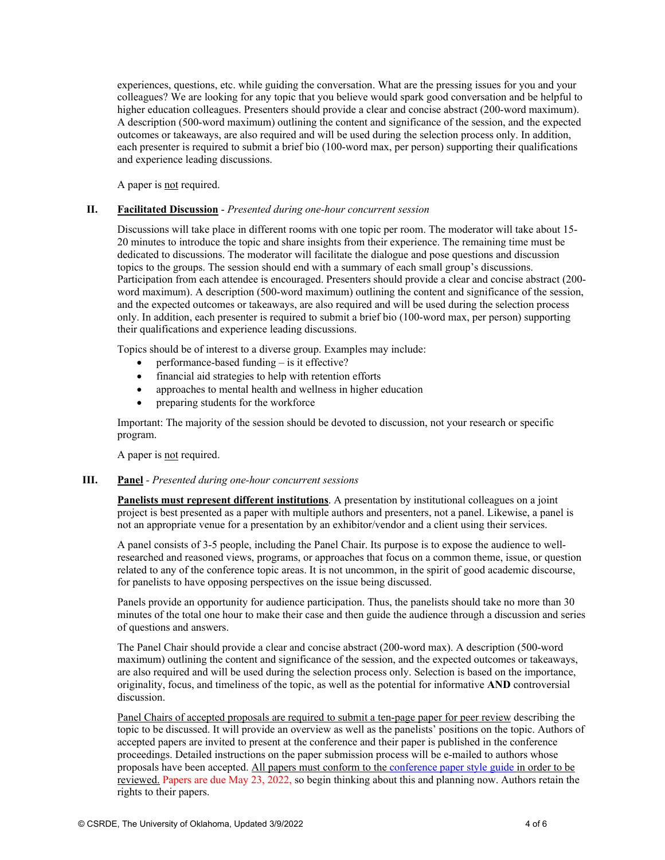<span id="page-3-0"></span>experiences, questions, etc. while guiding the conversation. What are the pressing issues for you and your colleagues? We are looking for any topic that you believe would spark good conversation and be helpful to higher education colleagues. Presenters should provide a clear and concise abstract (200-word maximum). A description (500-word maximum) outlining the content and significance of the session, and the expected outcomes or takeaways, are also required and will be used during the selection process only. In addition, each presenter is required to submit a brief bio (100-word max, per person) supporting their qualifications and experience leading discussions.

A paper is not required.

#### **II. Facilitated Discussion** - *Presented during one-hour concurrent session*

Discussions will take place in different rooms with one topic per room. The moderator will take about 15- 20 minutes to introduce the topic and share insights from their experience. The remaining time must be dedicated to discussions. The moderator will facilitate the dialogue and pose questions and discussion topics to the groups. The session should end with a summary of each small group's discussions. Participation from each attendee is encouraged. Presenters should provide a clear and concise abstract (200 word maximum). A description (500-word maximum) outlining the content and significance of the session, and the expected outcomes or takeaways, are also required and will be used during the selection process only. In addition, each presenter is required to submit a brief bio (100-word max, per person) supporting their qualifications and experience leading discussions.

Topics should be of interest to a diverse group. Examples may include:

- $\bullet$  performance-based funding is it effective?
- financial aid strategies to help with retention efforts
- approaches to mental health and wellness in higher education
- preparing students for the workforce

Important: The majority of the session should be devoted to discussion, not your research or specific program.

A paper is not required.

#### **III. Panel** *- Presented during one-hour concurrent sessions*

**Panelists must represent different institutions**. A presentation by institutional colleagues on a joint project is best presented as a paper with multiple authors and presenters, not a panel. Likewise, a panel is not an appropriate venue for a presentation by an exhibitor/vendor and a client using their services.

A panel consists of 3-5 people, including the Panel Chair. Its purpose is to expose the audience to wellresearched and reasoned views, programs, or approaches that focus on a common theme, issue, or question related to any of the conference topic areas. It is not uncommon, in the spirit of good academic discourse, for panelists to have opposing perspectives on the issue being discussed.

Panels provide an opportunity for audience participation. Thus, the panelists should take no more than 30 minutes of the total one hour to make their case and then guide the audience through a discussion and series of questions and answers.

The Panel Chair should provide a clear and concise abstract (200-word max). A description (500-word maximum) outlining the content and significance of the session, and the expected outcomes or takeaways, are also required and will be used during the selection process only. Selection is based on the importance, originality, focus, and timeliness of the topic, as well as the potential for informative **AND** controversial discussion.

Panel Chairs of accepted proposals are required to submit a ten-page paper for peer review describing the topic to be discussed. It will provide an overview as well as the panelists' positions on the topic. Authors of accepted papers are invited to present at the conference and their paper is published in the conference proceedings. Detailed instructions on the paper submission process will be e-mailed to authors whose proposals have been accepted. All papers must conform to the [conference paper style guide](https://csrde.ou.edu/wp-content/uploads/HowtoFormatSymposiumPaper.pdf) in order to be reviewed. Papers are due May 23, 2022, so begin thinking about this and planning now. Authors retain the rights to their papers.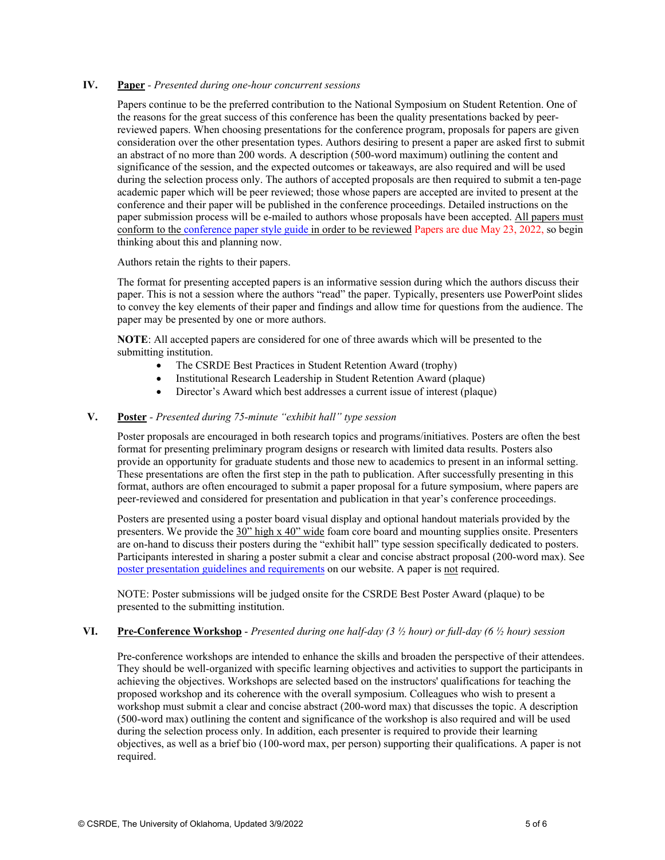#### <span id="page-4-0"></span>**IV. Paper** *- Presented during one-hour concurrent sessions*

Papers continue to be the preferred contribution to the National Symposium on Student Retention. One of the reasons for the great success of this conference has been the quality presentations backed by peerreviewed papers. When choosing presentations for the conference program, proposals for papers are given consideration over the other presentation types. Authors desiring to present a paper are asked first to submit an abstract of no more than 200 words. A description (500-word maximum) outlining the content and significance of the session, and the expected outcomes or takeaways, are also required and will be used during the selection process only. The authors of accepted proposals are then required to submit a ten-page academic paper which will be peer reviewed; those whose papers are accepted are invited to present at the conference and their paper will be published in the conference proceedings. Detailed instructions on the paper submission process will be e-mailed to authors whose proposals have been accepted. All papers must conform to the [conference paper style guide](https://csrde.ou.edu/wp-content/uploads/HowtoFormatSymposiumPaper.pdf) in order to be reviewed Papers are due May 23, 2022, so begin thinking about this and planning now.

Authors retain the rights to their papers.

The format for presenting accepted papers is an informative session during which the authors discuss their paper. This is not a session where the authors "read" the paper. Typically, presenters use PowerPoint slides to convey the key elements of their paper and findings and allow time for questions from the audience. The paper may be presented by one or more authors.

**NOTE**: All accepted papers are considered for one of three awards which will be presented to the submitting institution.

- The CSRDE Best Practices in Student Retention Award (trophy)
- Institutional Research Leadership in Student Retention Award (plaque)
- Director's Award which best addresses a current issue of interest (plaque)

#### **V. Poster** *- Presented during 75-minute "exhibit hall" type session*

Poster proposals are encouraged in both research topics and programs/initiatives. Posters are often the best format for presenting preliminary program designs or research with limited data results. Posters also provide an opportunity for graduate students and those new to academics to present in an informal setting. These presentations are often the first step in the path to publication. After successfully presenting in this format, authors are often encouraged to submit a paper proposal for a future symposium, where papers are peer-reviewed and considered for presentation and publication in that year's conference proceedings.

Posters are presented using a poster board visual display and optional handout materials provided by the presenters. We provide the 30" high x 40" wide foam core board and mounting supplies onsite. Presenters are on-hand to discuss their posters during the "exhibit hall" type session specifically dedicated to posters. Participants interested in sharing a poster submit a clear and concise abstract proposal (200-word max). See [poster presentation guidelines and requirements](https://csrde.ou.edu/wp-content/uploads/PosterPresentationGuidelines.pdf) on our website. A paper is not required.

NOTE: Poster submissions will be judged onsite for the CSRDE Best Poster Award (plaque) to be presented to the submitting institution.

#### **VI. Pre-Conference Workshop** - *Presented during one half-day (3 ½ hour) or full-day (6 ½ hour) session*

Pre-conference workshops are intended to enhance the skills and broaden the perspective of their attendees. They should be well-organized with specific learning objectives and activities to support the participants in achieving the objectives. Workshops are selected based on the instructors' qualifications for teaching the proposed workshop and its coherence with the overall symposium. Colleagues who wish to present a workshop must submit a clear and concise abstract (200-word max) that discusses the topic. A description (500-word max) outlining the content and significance of the workshop is also required and will be used during the selection process only. In addition, each presenter is required to provide their learning objectives, as well as a brief bio (100-word max, per person) supporting their qualifications. A paper is not required.